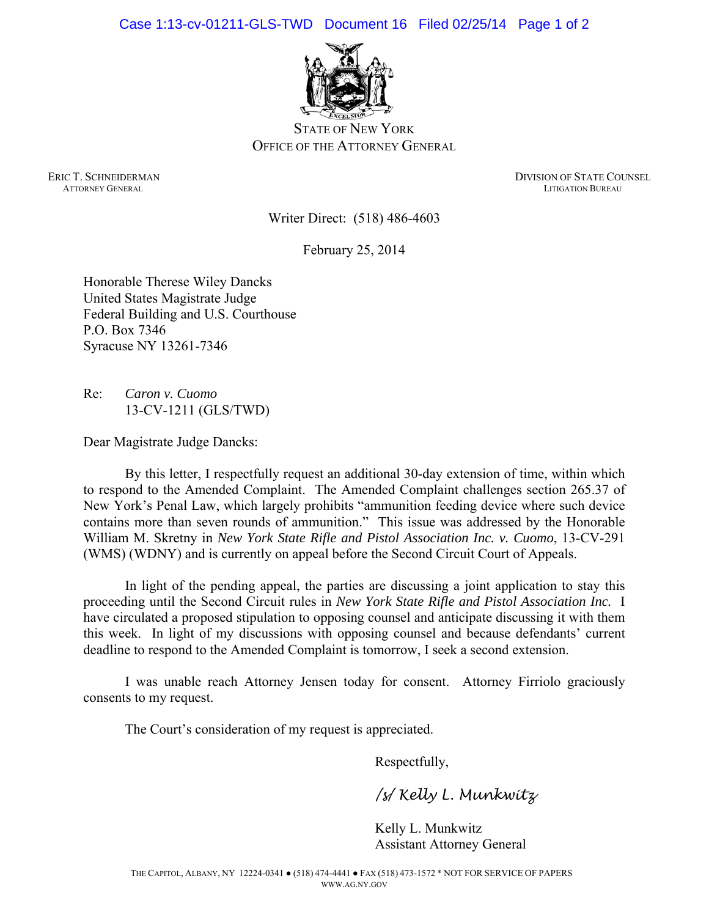Case 1:13-cv-01211-GLS-TWD Document 16 Filed 02/25/14 Page 1 of 2



STATE OF NEW YORK OFFICE OF THE ATTORNEY GENERAL

ERIC T. SCHNEIDERMAN DIVISION OF STATE COUNSEL ATTORNEY GENERAL LITIGATION BUREAU

Writer Direct: (518) 486-4603

February 25, 2014

Honorable Therese Wiley Dancks United States Magistrate Judge Federal Building and U.S. Courthouse P.O. Box 7346 Syracuse NY 13261-7346

Re: *Caron v. Cuomo*  13-CV-1211 (GLS/TWD)

Dear Magistrate Judge Dancks:

By this letter, I respectfully request an additional 30-day extension of time, within which to respond to the Amended Complaint. The Amended Complaint challenges section 265.37 of New York's Penal Law, which largely prohibits "ammunition feeding device where such device contains more than seven rounds of ammunition." This issue was addressed by the Honorable William M. Skretny in *New York State Rifle and Pistol Association Inc. v. Cuomo*, 13-CV-291 (WMS) (WDNY) and is currently on appeal before the Second Circuit Court of Appeals.

In light of the pending appeal, the parties are discussing a joint application to stay this proceeding until the Second Circuit rules in *New York State Rifle and Pistol Association Inc.* I have circulated a proposed stipulation to opposing counsel and anticipate discussing it with them this week. In light of my discussions with opposing counsel and because defendants' current deadline to respond to the Amended Complaint is tomorrow, I seek a second extension.

I was unable reach Attorney Jensen today for consent. Attorney Firriolo graciously consents to my request.

The Court's consideration of my request is appreciated.

Respectfully,

*/s/ Kelly L. Munkwitz* 

Kelly L. Munkwitz Assistant Attorney General